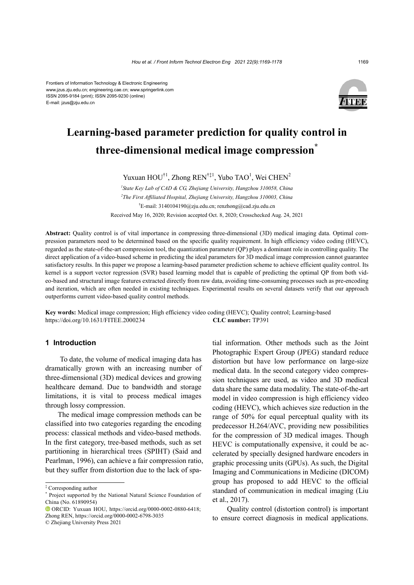

# **Learning-based parameter prediction for quality control in three-dimensional medical image compression\***

Yuxuan  $HOU^{\dagger 1}$ , Zhong  $REN^{\dagger\ddagger 1}$ , Yubo TAO<sup>1</sup>, Wei CHEN<sup>2</sup>

*1 State Key Lab of CAD & CG, Zhejiang University, Hangzhou 310058, China 2 The First Affiliated Hospital, Zhejiang University, Hangzhou 310003, China* † E-mail: 3140104190@zju.edu.cn; renzhong@cad.zju.edu.cn Received May 16, 2020; Revision accepted Oct. 8, 2020; Crosschecked Aug. 24, 2021

**Abstract:** Quality control is of vital importance in compressing three-dimensional (3D) medical imaging data. Optimal compression parameters need to be determined based on the specific quality requirement. In high efficiency video coding (HEVC), regarded as the state-of-the-art compression tool, the quantization parameter (QP) plays a dominant role in controlling quality. The direct application of a video-based scheme in predicting the ideal parameters for 3D medical image compression cannot guarantee satisfactory results. In this paper we propose a learning-based parameter prediction scheme to achieve efficient quality control. Its kernel is a support vector regression (SVR) based learning model that is capable of predicting the optimal QP from both video-based and structural image features extracted directly from raw data, avoiding time-consuming processes such as pre-encoding and iteration, which are often needed in existing techniques. Experimental results on several datasets verify that our approach outperforms current video-based quality control methods.

**Key words:** Medical image compression; High efficiency video coding (HEVC); Quality control; Learning-based https://doi.org/10.1631/FITEE.2000234 **CLC number:** TP391

## **1 Introduction**

To date, the volume of medical imaging data has dramatically grown with an increasing number of three-dimensional (3D) medical devices and growing healthcare demand. Due to bandwidth and storage limitations, it is vital to process medical images through lossy compression.

The medical image compression methods can be classified into two categories regarding the encoding process: classical methods and video-based methods. In the first category, tree-based methods, such as set partitioning in hierarchical trees (SPIHT) (Said and Pearlman, 1996), can achieve a fair compression ratio, but they suffer from distortion due to the lack of spa-

© Zhejiang University Press 2021

tial information. Other methods such as the Joint Photographic Expert Group (JPEG) standard reduce distortion but have low performance on large-size medical data. In the second category video compression techniques are used, as video and 3D medical data share the same data modality. The state-of-the-art model in video compression is high efficiency video coding (HEVC), which achieves size reduction in the range of 50% for equal perceptual quality with its predecessor H.264/AVC, providing new possibilities for the compression of 3D medical images. Though HEVC is computationally expensive, it could be accelerated by specially designed hardware encoders in graphic processing units (GPUs). As such, the Digital Imaging and Communications in Medicine (DICOM) group has proposed to add HEVC to the official standard of communication in medical imaging (Liu et al., 2017).

Quality control (distortion control) is important to ensure correct diagnosis in medical applications.

<sup>‡</sup> Corresponding author

Project supported by the National Natural Science Foundation of China (No. 61890954)

ORCID: Yuxuan HOU, https://orcid.org/0000-0002-0880-6418; Zhong REN, https://orcid.org/0000-0002-6798-3035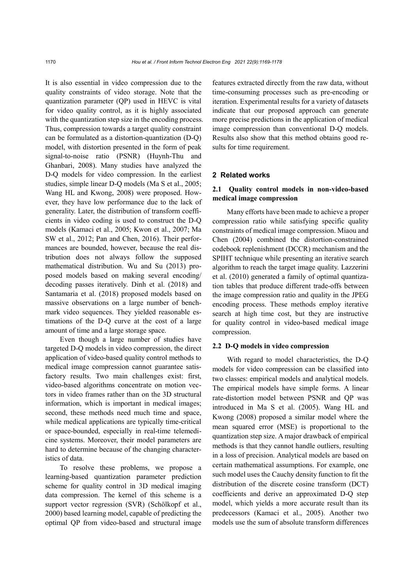It is also essential in video compression due to the quality constraints of video storage. Note that the quantization parameter (QP) used in HEVC is vital for video quality control, as it is highly associated with the quantization step size in the encoding process. Thus, compression towards a target quality constraint can be formulated as a distortion-quantization (D-Q) model, with distortion presented in the form of peak signal-to-noise ratio (PSNR) (Huynh-Thu and Ghanbari, 2008). Many studies have analyzed the D-Q models for video compression. In the earliest studies, simple linear D-Q models (Ma S et al., 2005; Wang HL and Kwong, 2008) were proposed. However, they have low performance due to the lack of generality. Later, the distribution of transform coefficients in video coding is used to construct the D-Q models (Kamaci et al., 2005; Kwon et al., 2007; Ma SW et al., 2012; Pan and Chen, 2016). Their performances are bounded, however, because the real distribution does not always follow the supposed mathematical distribution. Wu and Su (2013) proposed models based on making several encoding/ decoding passes iteratively. Dinh et al. (2018) and Santamaria et al. (2018) proposed models based on massive observations on a large number of benchmark video sequences. They yielded reasonable estimations of the D-Q curve at the cost of a large amount of time and a large storage space.

Even though a large number of studies have targeted D-Q models in video compression, the direct application of video-based quality control methods to medical image compression cannot guarantee satisfactory results. Two main challenges exist: first, video-based algorithms concentrate on motion vectors in video frames rather than on the 3D structural information, which is important in medical images; second, these methods need much time and space, while medical applications are typically time-critical or space-bounded, especially in real-time telemedicine systems. Moreover, their model parameters are hard to determine because of the changing characteristics of data.

To resolve these problems, we propose a learning-based quantization parameter prediction scheme for quality control in 3D medical imaging data compression. The kernel of this scheme is a support vector regression (SVR) (Schölkopf et al., 2000) based learning model, capable of predicting the optimal QP from video-based and structural image features extracted directly from the raw data, without time-consuming processes such as pre-encoding or iteration. Experimental results for a variety of datasets indicate that our proposed approach can generate more precise predictions in the application of medical image compression than conventional D-Q models. Results also show that this method obtains good results for time requirement.

# **2 Related works**

# **2.1 Quality control models in non-video-based medical image compression**

Many efforts have been made to achieve a proper compression ratio while satisfying specific quality constraints of medical image compression. Miaou and Chen (2004) combined the distortion-constrained codebook replenishment (DCCR) mechanism and the SPIHT technique while presenting an iterative search algorithm to reach the target image quality. Lazzerini et al. (2010) generated a family of optimal quantization tables that produce different trade-offs between the image compression ratio and quality in the JPEG encoding process. These methods employ iterative search at high time cost, but they are instructive for quality control in video-based medical image compression.

#### **2.2 D-Q models in video compression**

With regard to model characteristics, the D-Q models for video compression can be classified into two classes: empirical models and analytical models. The empirical models have simple forms. A linear rate-distortion model between PSNR and QP was introduced in Ma S et al. (2005). Wang HL and Kwong (2008) proposed a similar model where the mean squared error (MSE) is proportional to the quantization step size. A major drawback of empirical methods is that they cannot handle outliers, resulting in a loss of precision. Analytical models are based on certain mathematical assumptions. For example, one such model uses the Cauchy density function to fit the distribution of the discrete cosine transform (DCT) coefficients and derive an approximated D-Q step model, which yields a more accurate result than its predecessors (Kamaci et al., 2005). Another two models use the sum of absolute transform differences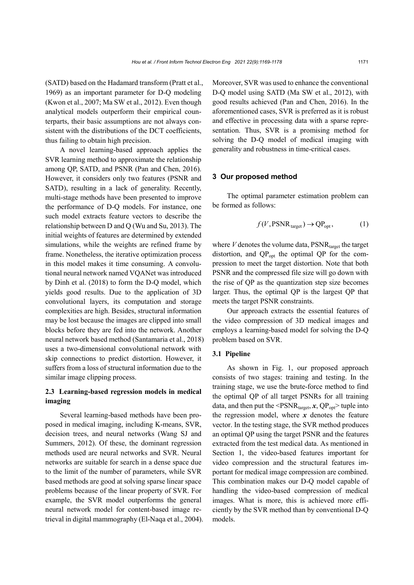(SATD) based on the Hadamard transform (Pratt et al., 1969) as an important parameter for D-Q modeling (Kwon et al., 2007; Ma SW et al., 2012). Even though analytical models outperform their empirical counterparts, their basic assumptions are not always consistent with the distributions of the DCT coefficients, thus failing to obtain high precision.

A novel learning-based approach applies the SVR learning method to approximate the relationship among QP, SATD, and PSNR (Pan and Chen, 2016). However, it considers only two features (PSNR and SATD), resulting in a lack of generality. Recently, multi-stage methods have been presented to improve the performance of D-Q models. For instance, one such model extracts feature vectors to describe the relationship between D and Q (Wu and Su, 2013). The initial weights of features are determined by extended simulations, while the weights are refined frame by frame. Nonetheless, the iterative optimization process in this model makes it time consuming. A convolutional neural network named VQANet was introduced by Dinh et al. (2018) to form the D-Q model, which yields good results. Due to the application of 3D convolutional layers, its computation and storage complexities are high. Besides, structural information may be lost because the images are clipped into small blocks before they are fed into the network. Another neural network based method (Santamaria et al., 2018) uses a two-dimensional convolutional network with skip connections to predict distortion. However, it suffers from a loss of structural information due to the similar image clipping process.

# **2.3 Learning-based regression models in medical imaging**

Several learning-based methods have been proposed in medical imaging, including K-means, SVR, decision trees, and neural networks (Wang SJ and Summers, 2012). Of these, the dominant regression methods used are neural networks and SVR. Neural networks are suitable for search in a dense space due to the limit of the number of parameters, while SVR based methods are good at solving sparse linear space problems because of the linear property of SVR. For example, the SVR model outperforms the general neural network model for content-based image retrieval in digital mammography (El-Naqa et al., 2004). Moreover, SVR was used to enhance the conventional D-Q model using SATD (Ma SW et al., 2012), with good results achieved (Pan and Chen, 2016). In the aforementioned cases, SVR is preferred as it is robust and effective in processing data with a sparse representation. Thus, SVR is a promising method for solving the D-Q model of medical imaging with generality and robustness in time-critical cases.

#### **3 Our proposed method**

The optimal parameter estimation problem can be formed as follows:

$$
f(V, \text{PSNR}_{\text{target}}) \to \text{QP}_{\text{opt}},\tag{1}
$$

where  $V$  denotes the volume data,  $PSNR_{\text{target}}$  the target distortion, and  $QP_{\text{opt}}$  the optimal QP for the compression to meet the target distortion. Note that both PSNR and the compressed file size will go down with the rise of QP as the quantization step size becomes larger. Thus, the optimal QP is the largest QP that meets the target PSNR constraints.

Our approach extracts the essential features of the video compression of 3D medical images and employs a learning-based model for solving the D-Q problem based on SVR.

#### **3.1 Pipeline**

As shown in Fig. 1, our proposed approach consists of two stages: training and testing. In the training stage, we use the brute-force method to find the optimal QP of all target PSNRs for all training data, and then put the  $\leq$ PSNR<sub>target</sub>,  $x$ , QP<sub>opt</sub>> tuple into the regression model, where *x* denotes the feature vector. In the testing stage, the SVR method produces an optimal QP using the target PSNR and the features extracted from the test medical data. As mentioned in Section 1, the video-based features important for video compression and the structural features important for medical image compression are combined. This combination makes our D-Q model capable of handling the video-based compression of medical images. What is more, this is achieved more efficiently by the SVR method than by conventional D-Q models.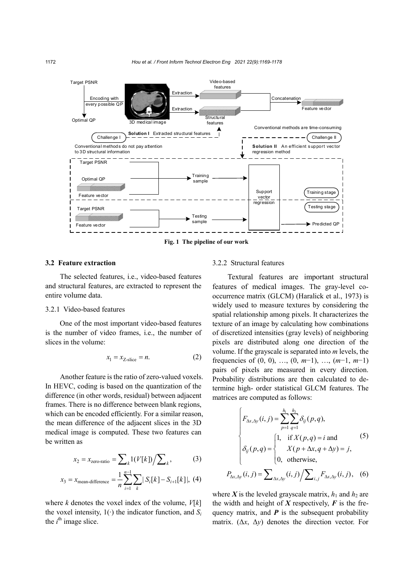

# **3.2 Feature extraction**

The selected features, i.e., video-based features and structural features, are extracted to represent the entire volume data.

# 3.2.1 Video-based features

One of the most important video-based features is the number of video frames, i.e., the number of slices in the volume:

$$
x_1 = x_{Z\text{-slice}} = n. \tag{2}
$$

Another feature is the ratio of zero-valued voxels. In HEVC, coding is based on the quantization of the difference (in other words, residual) between adjacent frames. There is no difference between blank regions, which can be encoded efficiently. For a similar reason, the mean difference of the adjacent slices in the 3D medical image is computed. These two features can be written as

$$
x_2 = x_{\text{zero-ratio}} = \sum_{k} 1(V[k]) / \sum_{k},\tag{3}
$$

$$
x_3 = x_{\text{mean-difference}} = \frac{1}{n} \sum_{i=1}^{n-1} \sum_{k} |S_i[k] - S_{i+1}[k]|, (4)
$$

where *k* denotes the voxel index of the volume, *V*[*k*] the voxel intensity, 1(∙) the indicator function, and *Si* the  $i^{\text{th}}$  image slice.

# 3.2.2 Structural features

Textural features are important structural features of medical images. The gray-level cooccurrence matrix (GLCM) (Haralick et al., 1973) is widely used to measure textures by considering the spatial relationship among pixels. It characterizes the texture of an image by calculating how combinations of discretized intensities (gray levels) of neighboring pixels are distributed along one direction of the volume. If the grayscale is separated into *m* levels, the frequencies of (0, 0), …, (0, *m*−1), …, (*m*−1, *m*−1) pairs of pixels are measured in every direction. Probability distributions are then calculated to determine high- order statistical GLCM features. The matrices are computed as follows:

$$
\begin{cases}\nF_{\Delta x, \Delta y}(i, j) = \sum_{p=1}^{h_1} \sum_{q=1}^{h_2} \delta_{ij}(p, q), \\
\delta_{ij}(p, q) = \begin{cases}\n1, & \text{if } X(p, q) = i \text{ and } \\
X(p + \Delta x, q + \Delta y) = j, \\
0, & \text{otherwise,}\n\end{cases}\n\end{cases}
$$
\n(5)

$$
P_{\Delta x, \Delta y}(i, j) = \sum_{\Delta x, \Delta y}(i, j) / \sum_{i, j} F_{\Delta x, \Delta y}(i, j), \quad (6)
$$

where *X* is the leveled grayscale matrix,  $h_1$  and  $h_2$  are the width and height of  $X$  respectively,  $F$  is the frequency matrix, and  $P$  is the subsequent probability matrix. ( $\Delta x$ ,  $\Delta y$ ) denotes the direction vector. For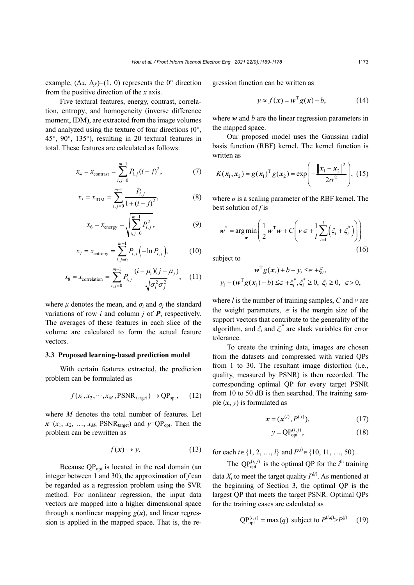example,  $(\Delta x, \Delta y) = (1, 0)$  represents the 0° direction from the positive direction of the *x* axis.

Five textural features, energy, contrast, correlation, entropy, and homogeneity (inverse difference moment, IDM), are extracted from the image volumes and analyzed using the texture of four directions (0°, 45°, 90°, 135°), resulting in 20 textural features in total. These features are calculated as follows:

$$
x_4 = x_{\text{contrast}} = \sum_{i,j=0}^{m-1} P_{i,j} (i-j)^2, \tag{7}
$$

$$
x_5 = x_{\text{IDM}} = \sum_{i,j=0}^{m-1} \frac{P_{i,j}}{1 + (i - j)^2},\tag{8}
$$

$$
x_6 = x_{\text{energy}} = \sqrt{\sum_{i,j=0}^{m-1} P_{i,j}^2},\tag{9}
$$

$$
x_7 = x_{\text{entropy}} = \sum_{i,j=0}^{m-1} P_{i,j} \left( -\ln P_{i,j} \right),\tag{10}
$$

$$
x_8 = x_{\text{correlation}} = \sum_{i,j=0}^{m-1} P_{i,j} \frac{(i - \mu_i)(j - \mu_j)}{\sqrt{\sigma_i^2 \sigma_j^2}}, \quad (11)
$$

where  $\mu$  denotes the mean, and  $\sigma_i$  and  $\sigma_j$  the standard variations of row *i* and column *j* of *P*, respectively. The averages of these features in each slice of the volume are calculated to form the actual feature vectors.

## **3.3 Proposed learning-based prediction model**

With certain features extracted, the prediction problem can be formulated as

$$
f(x_1, x_2, \cdots, x_M, \text{PSNR}_{\text{target}}) \to \text{QP}_{\text{opt}}, \quad (12)
$$

where *M* denotes the total number of features. Let  $x=(x_1, x_2, ..., x_M, \text{PSNR}_{\text{target}})$  and  $y=QP_{\text{opt}}.$  Then the problem can be rewritten as

$$
f(\mathbf{x}) \to y. \tag{13}
$$

Because  $QP_{opt}$  is located in the real domain (an integer between 1 and 30), the approximation of *f* can be regarded as a regression problem using the SVR method. For nonlinear regression, the input data vectors are mapped into a higher dimensional space through a nonlinear mapping  $g(x)$ , and linear regression is applied in the mapped space. That is, the regression function can be written as

$$
y \approx f(x) = w^{T}g(x) + b,
$$
 (14)

where *w* and *b* are the linear regression parameters in the mapped space.

Our proposed model uses the Gaussian radial basis function (RBF) kernel. The kernel function is written as

$$
K(x_1, x_2) = g(x_1)^T g(x_2) = \exp\left(-\frac{\left\|x_1 - x_2\right\|^2}{2\sigma^2}\right),
$$
 (15)

where  $\sigma$  is a scaling parameter of the RBF kernel. The best solution of *f* is

$$
\boldsymbol{w}^* = \underset{\boldsymbol{w}}{\arg\min} \left( \frac{1}{2} \boldsymbol{w}^{\mathrm{T}} \boldsymbol{w} + C \left( \boldsymbol{v} \in + \frac{1}{l} \sum_{i=1}^{l} \left( \xi_i + \xi_i^* \right) \right) \right)
$$
(16)

subject to

$$
\mathbf{w}^{\mathrm{T}}g(\mathbf{x}_i) + b - y_i \leq \in +\xi_i, \ny_i - (\mathbf{w}^{\mathrm{T}}g(\mathbf{x}_i) + b) \leq \in +\xi_i^*, \xi_i^* \geq 0, \xi_i \geq 0, \infty, 0,
$$

where *l* is the number of training samples, *C* and *v* are the weight parameters,  $\epsilon$  is the margin size of the support vectors that contribute to the generality of the algorithm, and *ξ<sup>i</sup>* and *ξ<sup>i</sup>* \* are slack variables for error tolerance.

To create the training data, images are chosen from the datasets and compressed with varied QPs from 1 to 30. The resultant image distortion (i.e., quality, measured by PSNR) is then recorded. The corresponding optimal QP for every target PSNR from 10 to 50 dB is then searched. The training sample  $(x, y)$  is formulated as

$$
x = (x^{(i)}, P^{(j)}), \tag{17}
$$

$$
y = \mathbf{QP}_{\text{opt}}^{(i,j)},\tag{18}
$$

for each *i* ∈ {1, 2, …, *l*} and  $P^{(j)}$  ∈ {10, 11, …, 50}.

The  $QP_{opt}^{(i,j)}$  is the optimal QP for the *i*<sup>th</sup> training

data  $X_i$  to meet the target quality  $P^{(j)}$ . As mentioned at the beginning of Section 3, the optimal QP is the largest QP that meets the target PSNR. Optimal QPs for the training cases are calculated as

$$
QP_{opt}^{(i,j)} = \max(q) \text{ subject to } P^{(i,q)} > P^{(j)} \quad (19)
$$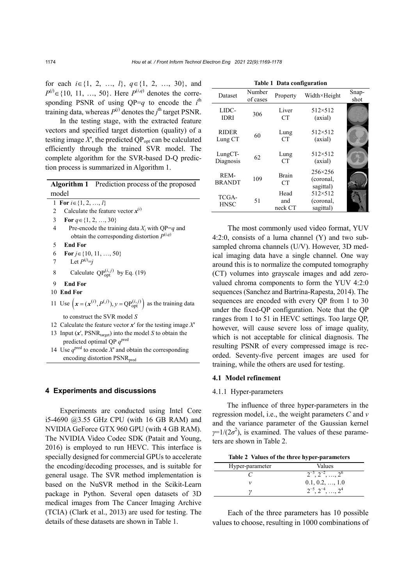for each *i*∈{1, 2, …, *l*}, *q*∈{1, 2, …, 30}, and  $P^{(j)}$  ∈ {10, 11, …, 50}. Here  $P^{(i,q)}$  denotes the corresponding PSNR of using  $QP=q$  to encode the  $i<sup>th</sup>$ training data, whereas  $P^{(j)}$  denotes the *j*<sup>th</sup> target PSNR.

In the testing stage, with the extracted feature vectors and specified target distortion (quality) of a testing image  $X'$ , the predicted  $QP_{opt}$  can be calculated efficiently through the trained SVR model. The complete algorithm for the SVR-based D-Q prediction process is summarized in Algorithm 1.

|       | <b>Algorithm 1</b> Prediction process of the proposed |
|-------|-------------------------------------------------------|
| model |                                                       |

1 **For**  $i \in \{1, 2, ..., l\}$ 

- 2 Calculate the feature vector  $x^{(i)}$
- 3 **For** *q*∈{1, 2, …, 30}
- 4 Pre-encode the training data *Xi* with QP=*q* and obtain the corresponding distortion  $P^{(i,q)}$
- 5 **End For**
- 6 **For** *j*∈{10, 11, …, 50}
- 7 Let  $P^{(j)}=j$
- 8 Calculate  $QP_{opt}^{(i,j)}$  by Eq. (19)
- 9 **End For**
- 10 **End For**
- 11 Use  $(x = (x^{(i)}, P^{(j)}), y = QP_{opt}^{(i,j)})$  as the training data to construct the SVR model *S*
- 12 Calculate the feature vector *x*′ for the testing image *X*′
- 13 Input  $(x',$  PSNR<sub>target</sub>) into the model *S* to obtain the predicted optimal QP  $q^{\text{pred}}$
- 14 Use  $q^{\text{pred}}$  to encode X' and obtain the corresponding encoding distortion PSNR<sub>pred</sub>

## **4 Experiments and discussions**

Experiments are conducted using Intel Core i5-4690 @3.55 GHz CPU (with 16 GB RAM) and NVIDIA GeForce GTX 960 GPU (with 4 GB RAM). The NVIDIA Video Codec SDK (Patait and Young, 2016) is employed to run HEVC. This interface is specially designed for commercial GPUs to accelerate the encoding/decoding processes, and is suitable for general usage. The SVR method implementation is based on the NuSVR method in the Scikit-Learn package in Python. Several open datasets of 3D medical images from The Cancer Imaging Archive (TCIA) (Clark et al., 2013) are used for testing. The details of these datasets are shown in Table 1.

| Dataset                     | Number<br>of cases | Property               | Width×Height                               | Snap-<br>shot |  |  |  |
|-----------------------------|--------------------|------------------------|--------------------------------------------|---------------|--|--|--|
| LIDC-<br><b>IDRI</b>        | 306                | Liver<br><b>CT</b>     | $512 \times 512$<br>(axial)                |               |  |  |  |
| <b>RIDER</b><br>Lung CT     | 60                 | Lung<br>CT             | $512 \times 512$<br>(axial)                |               |  |  |  |
| $LungCT-$<br>Diagnosis      | 62                 | Lung<br><b>CT</b>      | 512×512<br>(axial)                         |               |  |  |  |
| REM-<br><b>BRANDT</b>       | 109                | <b>Brain</b><br>CT     | $256 \times 256$<br>(coronal,<br>sagittal) |               |  |  |  |
| <b>TCGA-</b><br><b>HNSC</b> | 51                 | Head<br>and<br>neck CT | 512×512<br>(coronal,<br>sagittal)          |               |  |  |  |

**Table 1 Data configuration**

The most commonly used video format, YUV 4:2:0, consists of a luma channel (Y) and two subsampled chroma channels (U/V). However, 3D medical imaging data have a single channel. One way around this is to normalize the computed tomography (CT) volumes into grayscale images and add zerovalued chroma components to form the YUV 4:2:0 sequences (Sanchez and Bartrina-Rapesta, 2014). The sequences are encoded with every QP from 1 to 30 under the fixed-QP configuration. Note that the QP ranges from 1 to 51 in HEVC settings. Too large QP, however, will cause severe loss of image quality, which is not acceptable for clinical diagnosis. The resulting PSNR of every compressed image is recorded. Seventy-five percent images are used for training, while the others are used for testing.

#### **4.1 Model refinement**

#### 4.1.1 Hyper-parameters

The influence of three hyper-parameters in the regression model, i.e., the weight parameters *C* and *v* and the variance parameter of the Gaussian kernel  $\gamma=1/(2\sigma^2)$ , is examined. The values of these parameters are shown in Table 2.

|  |  |  |  |  | Table 2 Values of the three hyper-parameters |
|--|--|--|--|--|----------------------------------------------|
|--|--|--|--|--|----------------------------------------------|

| Hyper-parameter | Values                               |
|-----------------|--------------------------------------|
|                 | $\overline{2}^{-3}, 2^{-2}, , 2^{6}$ |
|                 | $0.1, 0.2, \ldots, 1.0$              |
|                 | $2^{-5}, 2^{-4}, \ldots, 2^4$        |

Each of the three parameters has 10 possible values to choose, resulting in 1000 combinations of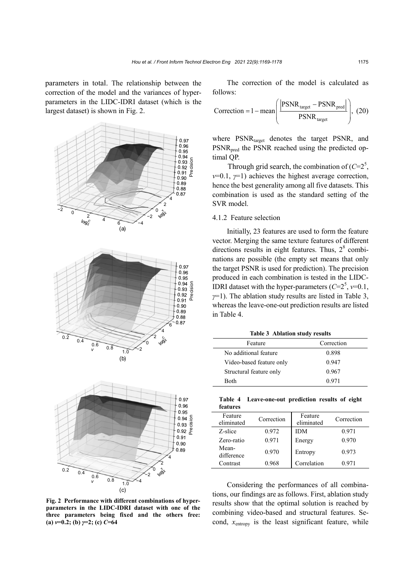parameters in total. The relationship between the correction of the model and the variances of hyperparameters in the LIDC-IDRI dataset (which is the largest dataset) is shown in Fig. 2.





**Fig. 2 Performance with different combinations of hyperparameters in the LIDC-IDRI dataset with one of the three parameters being fixed and the others free: (a)** *ν***=0.2; (b)** *γ***=2; (c)** *C***=64**

The correction of the model is calculated as follows:

$$
Correction = 1 - mean \left( \frac{\left| \text{PSNR}_{\text{target}} - \text{PSNR}_{\text{pred}} \right|}{\text{PSNR}_{\text{target}}} \right), (20)
$$

where PSNR<sub>target</sub> denotes the target PSNR, and PSNR<sub>pred</sub> the PSNR reached using the predicted optimal QP.

Through grid search, the combination of  $(C=2^5)$ , *v*=0.1, *γ*=1) achieves the highest average correction, hence the best generality among all five datasets. This combination is used as the standard setting of the SVR model.

# 4.1.2 Feature selection

Initially, 23 features are used to form the feature vector. Merging the same texture features of different directions results in eight features. Thus,  $2<sup>8</sup>$  combinations are possible (the empty set means that only the target PSNR is used for prediction). The precision produced in each combination is tested in the LIDC-IDRI dataset with the hyper-parameters  $(C=2^5, v=0.1,$ *γ*=1). The ablation study results are listed in Table 3, whereas the leave-one-out prediction results are listed in Table 4.

**Table 3 Ablation study results**

| Feature                  | Correction |
|--------------------------|------------|
| No additional feature    | 0.898      |
| Video-based feature only | 0.947      |
| Structural feature only  | 0.967      |
| Both                     | 0.971      |

|          | Table 4 Leave-one-out prediction results of eight |  |  |
|----------|---------------------------------------------------|--|--|
| features |                                                   |  |  |

| Feature<br>eliminated | Correction | Feature<br>eliminated | Correction |
|-----------------------|------------|-----------------------|------------|
| Z-slice               | 0.972      | <b>IDM</b>            | 0.971      |
| Zero-ratio            | 0.971      | Energy                | 0.970      |
| Mean-<br>difference   | 0.970      | Entropy               | 0.973      |
| Contrast              | 0.968      | Correlation           | 0.971      |

Considering the performances of all combinations, our findings are as follows. First, ablation study results show that the optimal solution is reached by combining video-based and structural features. Second,  $x_{entropy}$  is the least significant feature, while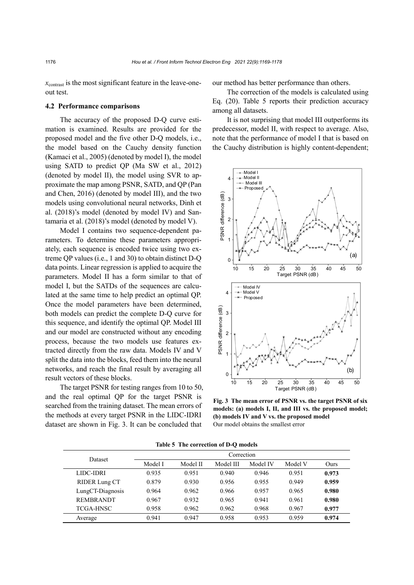$x<sub>contrast</sub>$  is the most significant feature in the leave-oneout test.

#### **4.2 Performance comparisons**

The accuracy of the proposed D-Q curve estimation is examined. Results are provided for the proposed model and the five other D-Q models, i.e., the model based on the Cauchy density function (Kamaci et al., 2005) (denoted by model I), the model using SATD to predict QP (Ma SW et al., 2012) (denoted by model II), the model using SVR to approximate the map among PSNR, SATD, and QP (Pan and Chen, 2016) (denoted by model III), and the two models using convolutional neural networks, Dinh et al. (2018)'s model (denoted by model IV) and Santamaria et al. (2018)'s model (denoted by model V).

Model I contains two sequence-dependent parameters. To determine these parameters appropriately, each sequence is encoded twice using two extreme QP values (i.e., 1 and 30) to obtain distinct D-Q data points. Linear regression is applied to acquire the parameters. Model II has a form similar to that of model I, but the SATDs of the sequences are calculated at the same time to help predict an optimal QP. Once the model parameters have been determined, both models can predict the complete D-Q curve for this sequence, and identify the optimal QP. Model III and our model are constructed without any encoding process, because the two models use features extracted directly from the raw data. Models IV and V split the data into the blocks, feed them into the neural networks, and reach the final result by averaging all result vectors of these blocks.

The target PSNR for testing ranges from 10 to 50, and the real optimal QP for the target PSNR is searched from the training dataset. The mean errors of the methods at every target PSNR in the LIDC-IDRI dataset are shown in Fig. 3. It can be concluded that

our method has better performance than others.

The correction of the models is calculated using Eq. (20). Table 5 reports their prediction accuracy among all datasets.

It is not surprising that model III outperforms its predecessor, model II, with respect to average. Also, note that the performance of model I that is based on the Cauchy distribution is highly content-dependent;



**Fig. 3 The mean error of PSNR vs. the target PSNR of six models: (a) models I, II, and III vs. the proposed model; (b) models IV and V vs. the proposed model**

| Table 5. The correction of D-O models. |            |          |           |          |         |       |
|----------------------------------------|------------|----------|-----------|----------|---------|-------|
| <b>Dataset</b>                         | Correction |          |           |          |         |       |
|                                        | Model I    | Model II | Model III | Model IV | Model V | Ours  |
| LIDC-IDRI                              | 0.935      | 0.951    | 0.940     | 0.946    | 0.951   | 0.973 |
| <b>RIDER Lung CT</b>                   | 0.879      | 0.930    | 0.956     | 0.955    | 0.949   | 0.959 |
| LungCT-Diagnosis                       | 0.964      | 0.962    | 0.966     | 0.957    | 0.965   | 0.980 |
| <b>REMBRANDT</b>                       | 0.967      | 0.932    | 0.965     | 0.941    | 0.961   | 0.980 |
| <b>TCGA-HNSC</b>                       | 0.958      | 0.962    | 0.962     | 0.968    | 0.967   | 0.977 |
| Average                                | 0.941      | 0.947    | 0.958     | 0.953    | 0.959   | 0.974 |

**Table 5 The correction of D-Q models**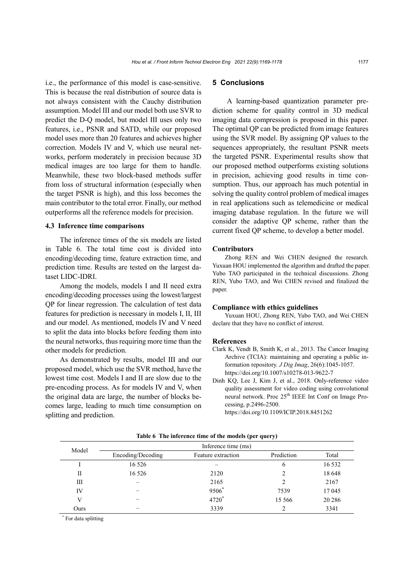i.e., the performance of this model is case-sensitive. This is because the real distribution of source data is not always consistent with the Cauchy distribution assumption. Model III and our model both use SVR to predict the D-Q model, but model III uses only two features, i.e., PSNR and SATD, while our proposed model uses more than 20 features and achieves higher correction. Models IV and V, which use neural networks, perform moderately in precision because 3D medical images are too large for them to handle. Meanwhile, these two block-based methods suffer from loss of structural information (especially when the target PSNR is high), and this loss becomes the main contributor to the total error. Finally, our method outperforms all the reference models for precision.

#### **4.3 Inference time comparisons**

The inference times of the six models are listed in Table 6. The total time cost is divided into encoding/decoding time, feature extraction time, and prediction time. Results are tested on the largest dataset LIDC-IDRI.

Among the models, models I and II need extra encoding/decoding processes using the lowest/largest QP for linear regression. The calculation of test data features for prediction is necessary in models I, II, III and our model. As mentioned, models IV and V need to split the data into blocks before feeding them into the neural networks, thus requiring more time than the other models for prediction.

As demonstrated by results, model III and our proposed model, which use the SVR method, have the lowest time cost. Models I and II are slow due to the pre-encoding process. As for models IV and V, when the original data are large, the number of blocks becomes large, leading to much time consumption on splitting and prediction.

# **5 Conclusions**

A learning-based quantization parameter prediction scheme for quality control in 3D medical imaging data compression is proposed in this paper. The optimal QP can be predicted from image features using the SVR model. By assigning QP values to the sequences appropriately, the resultant PSNR meets the targeted PSNR. Experimental results show that our proposed method outperforms existing solutions in precision, achieving good results in time consumption. Thus, our approach has much potential in solving the quality control problem of medical images in real applications such as telemedicine or medical imaging database regulation. In the future we will consider the adaptive QP scheme, rather than the current fixed QP scheme, to develop a better model.

#### **Contributors**

Zhong REN and Wei CHEN designed the research. Yuxuan HOU implemented the algorithm and drafted the paper. Yubo TAO participated in the technical discussions. Zhong REN, Yubo TAO, and Wei CHEN revised and finalized the paper.

#### **Compliance with ethics guidelines**

Yuxuan HOU, Zhong REN, Yubo TAO, and Wei CHEN declare that they have no conflict of interest.

#### **References**

- Clark K, Vendt B, Smith K, et al., 2013. The Cancer Imaging Archive (TCIA): maintaining and operating a public information repository. *J Dig Imag*, 26(6):1045-1057. https://doi.org/10.1007/s10278-013-9622-7
- Dinh KQ, Lee J, Kim J, et al., 2018. Only-reference video quality assessment for video coding using convolutional neural network. Proc  $25<sup>th</sup>$  IEEE Int Conf on Image Processing, p.2496-2500. <https://doi.org/10.1109/ICIP.2018.8451262>

| Model | Inference time (ms) |                    |                |         |  |  |
|-------|---------------------|--------------------|----------------|---------|--|--|
|       | Encoding/Decoding   | Feature extraction | Prediction     | Total   |  |  |
|       | 16 5 26             |                    | 6              | 16 5 32 |  |  |
| П     | 16 5 26             | 2120               |                | 18 648  |  |  |
| Ш     |                     | 2165               | $\mathfrak{D}$ | 2167    |  |  |
| IV    |                     | 9506*              | 7539           | 17045   |  |  |
| V     |                     | 4720*              | 15 5 6 6       | 20 28 6 |  |  |
| Ours  |                     | 3339               |                | 3341    |  |  |

**Table 6 The inference time of the models (per query)**

\* For data splitting